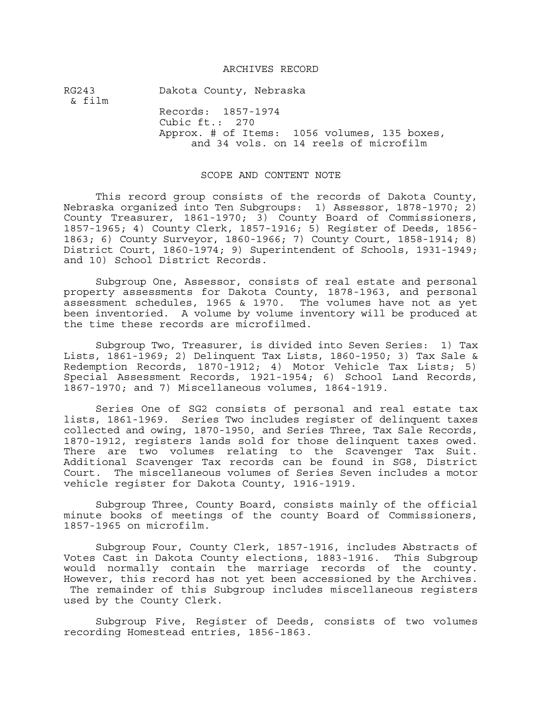## ARCHIVES RECORD

RG243 Dakota County, Nebraska & film Records: 1857-1974 Cubic ft.: 270 Approx. # of Items: 1056 volumes, 135 boxes, and 34 vols. on 14 reels of microfilm

## SCOPE AND CONTENT NOTE

This record group consists of the records of Dakota County, Nebraska organized into Ten Subgroups: 1) Assessor, 1878-1970; 2) County Treasurer, 1861-1970; 3) County Board of Commissioners, 1857-1965; 4) County Clerk, 1857-1916; 5) Register of Deeds, 1856- 1863; 6) County Surveyor, 1860-1966; 7) County Court, 1858-1914; 8) District Court, 1860-1974; 9) Superintendent of Schools, 1931-1949; and 10) School District Records.

Subgroup One, Assessor, consists of real estate and personal property assessments for Dakota County, 1878-1963, and personal assessment schedules, 1965 & 1970. The volumes have not as yet been inventoried. A volume by volume inventory will be produced at the time these records are microfilmed.

Subgroup Two, Treasurer, is divided into Seven Series: 1) Tax Lists, 1861-1969; 2) Delinquent Tax Lists, 1860-1950; 3) Tax Sale & Redemption Records, 1870-1912; 4) Motor Vehicle Tax Lists; 5) Special Assessment Records, 1921-1954; 6) School Land Records, 1867-1970; and 7) Miscellaneous volumes, 1864-1919.

Series One of SG2 consists of personal and real estate tax lists, 1861-1969. Series Two includes register of delinquent taxes collected and owing, 1870-1950, and Series Three, Tax Sale Records, 1870-1912, registers lands sold for those delinquent taxes owed. There are two volumes relating to the Scavenger Tax Suit. Additional Scavenger Tax records can be found in SG8, District Court. The miscellaneous volumes of Series Seven includes a motor vehicle register for Dakota County, 1916-1919.

Subgroup Three, County Board, consists mainly of the official minute books of meetings of the county Board of Commissioners, 1857-1965 on microfilm.

Subgroup Four, County Clerk, 1857-1916, includes Abstracts of Votes Cast in Dakota County elections, 1883-1916. This Subgroup would normally contain the marriage records of the county. However, this record has not yet been accessioned by the Archives. The remainder of this Subgroup includes miscellaneous registers used by the County Clerk.

Subgroup Five, Register of Deeds, consists of two volumes recording Homestead entries, 1856-1863.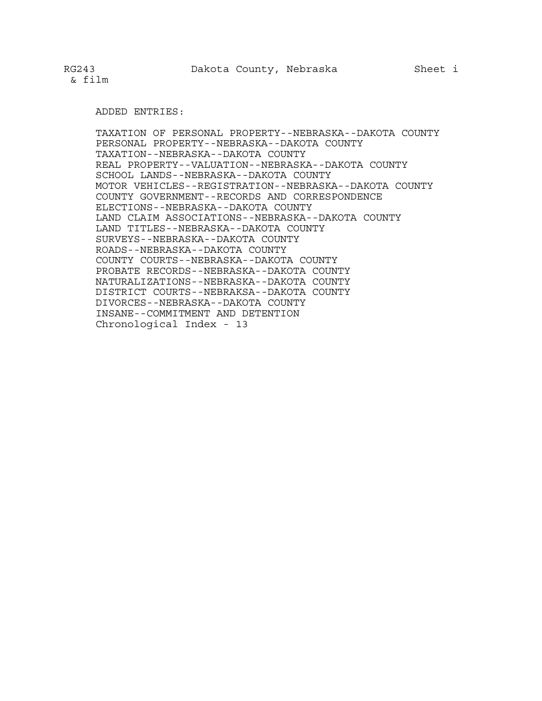## ADDED ENTRIES:

TAXATION OF PERSONAL PROPERTY--NEBRASKA--DAKOTA COUNTY PERSONAL PROPERTY--NEBRASKA--DAKOTA COUNTY TAXATION--NEBRASKA--DAKOTA COUNTY REAL PROPERTY--VALUATION--NEBRASKA--DAKOTA COUNTY SCHOOL LANDS--NEBRASKA--DAKOTA COUNTY MOTOR VEHICLES--REGISTRATION--NEBRASKA--DAKOTA COUNTY COUNTY GOVERNMENT--RECORDS AND CORRESPONDENCE ELECTIONS--NEBRASKA--DAKOTA COUNTY LAND CLAIM ASSOCIATIONS--NEBRASKA--DAKOTA COUNTY LAND TITLES--NEBRASKA--DAKOTA COUNTY SURVEYS--NEBRASKA--DAKOTA COUNTY ROADS--NEBRASKA--DAKOTA COUNTY COUNTY COURTS--NEBRASKA--DAKOTA COUNTY PROBATE RECORDS--NEBRASKA--DAKOTA COUNTY NATURALIZATIONS--NEBRASKA--DAKOTA COUNTY DISTRICT COURTS--NEBRAKSA--DAKOTA COUNTY DIVORCES--NEBRASKA--DAKOTA COUNTY INSANE--COMMITMENT AND DETENTION Chronological Index - 13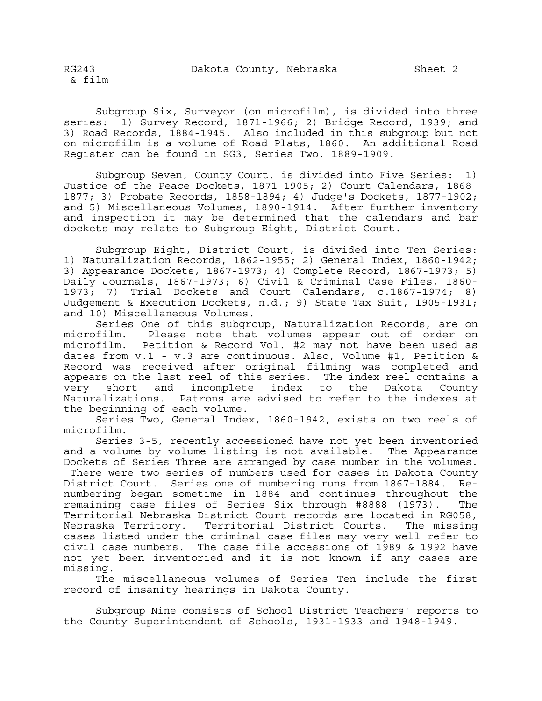Subgroup Six, Surveyor (on microfilm), is divided into three series: 1) Survey Record, 1871-1966; 2) Bridge Record, 1939; and 3) Road Records, 1884-1945. Also included in this subgroup but not on microfilm is a volume of Road Plats, 1860. An additional Road Register can be found in SG3, Series Two, 1889-1909.

Subgroup Seven, County Court, is divided into Five Series: 1) Justice of the Peace Dockets, 1871-1905; 2) Court Calendars, 1868- 1877; 3) Probate Records, 1858-1894; 4) Judge's Dockets, 1877-1902; and 5) Miscellaneous Volumes, 1890-1914. After further inventory and inspection it may be determined that the calendars and bar dockets may relate to Subgroup Eight, District Court.

Subgroup Eight, District Court, is divided into Ten Series: 1) Naturalization Records, 1862-1955; 2) General Index, 1860-1942; 3) Appearance Dockets, 1867-1973; 4) Complete Record, 1867-1973; 5) Daily Journals, 1867-1973; 6) Civil & Criminal Case Files, 1860- 1973; 7) Trial Dockets and Court Calendars, c.1867-1974; 8) Judgement & Execution Dockets, n.d.; 9) State Tax Suit, 1905-1931; and 10) Miscellaneous Volumes.

Series One of this subgroup, Naturalization Records, are on microfilm. Please note that volumes appear out of order on microfilm. Petition & Record Vol. #2 may not have been used as dates from v.1 - v.3 are continuous. Also, Volume #1, Petition & Record was received after original filming was completed and appears on the last reel of this series. The index reel contains a very short and incomplete index to the Dakota County Naturalizations. Patrons are advised to refer to the indexes at the beginning of each volume.

Series Two, General Index, 1860-1942, exists on two reels of microfilm.

Series 3-5, recently accessioned have not yet been inventoried and a volume by volume listing is not available. The Appearance Dockets of Series Three are arranged by case number in the volumes.

 There were two series of numbers used for cases in Dakota County District Court. Series one of numbering runs from 1867-1884. Renumbering began sometime in 1884 and continues throughout the remaining case files of Series Six through #8888 (1973). The Territorial Nebraska District Court records are located in RG058, Nebraska Territory. Territorial District Courts. The missing cases listed under the criminal case files may very well refer to civil case numbers. The case file accessions of 1989 & 1992 have not yet been inventoried and it is not known if any cases are missing.

The miscellaneous volumes of Series Ten include the first record of insanity hearings in Dakota County.

Subgroup Nine consists of School District Teachers' reports to the County Superintendent of Schools, 1931-1933 and 1948-1949.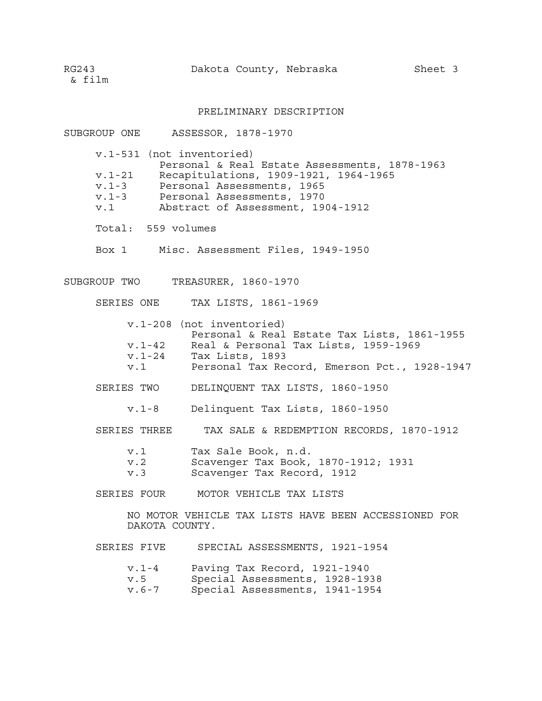RG243 Dakota County, Nebraska Sheet 3

& film

## PRELIMINARY DESCRIPTION

| SUBGROUP ONE ASSESSOR, 1878-1970        |                                                                                                                                                                                                         |
|-----------------------------------------|---------------------------------------------------------------------------------------------------------------------------------------------------------------------------------------------------------|
| v.1-531 (not inventoried)<br>$v.1 - 21$ | Personal & Real Estate Assessments, 1878-1963<br>Recapitulations, 1909-1921, 1964-1965<br>v.1-3 Personal Assessments, 1965<br>v.1-3 Personal Assessments, 1970<br>v.1 Abstract of Assessment, 1904-1912 |
| Total: 559 volumes                      |                                                                                                                                                                                                         |
|                                         | Box 1 Misc. Assessment Files, 1949-1950                                                                                                                                                                 |
| SUBGROUP TWO TREASURER, 1860-1970       |                                                                                                                                                                                                         |
|                                         | SERIES ONE TAX LISTS, 1861-1969                                                                                                                                                                         |
|                                         | v.1-208 (not inventoried)<br>Personal & Real Estate Tax Lists, 1861-1955<br>v.1-42 Real & Personal Tax Lists, 1959-1969<br>v.1-24 Tax Lists, 1893<br>v.1 Personal Tax Record, Emerson Pct., 1928-1947   |
|                                         | SERIES TWO DELINQUENT TAX LISTS, 1860-1950                                                                                                                                                              |
|                                         | v.1-8 Delinquent Tax Lists, 1860-1950                                                                                                                                                                   |
| SERIES THREE                            | TAX SALE & REDEMPTION RECORDS, 1870-1912                                                                                                                                                                |
| V.2<br>V.3                              | v.1 Tax Sale Book, n.d.<br>Scavenger Tax Book, 1870-1912; 1931<br>Scavenger Tax Record, 1912                                                                                                            |
|                                         | SERIES FOUR MOTOR VEHICLE TAX LISTS                                                                                                                                                                     |
| DAKOTA COUNTY.                          | NO MOTOR VEHICLE TAX LISTS HAVE BEEN ACCESSIONED FOR                                                                                                                                                    |
|                                         | SERIES FIVE SPECIAL ASSESSMENTS, 1921-1954                                                                                                                                                              |
| v.5                                     | v.1-4 Paving Tax Record, 1921-1940<br>Special Assessments, 1928-1938                                                                                                                                    |

v.6-7 Special Assessments, 1941-1954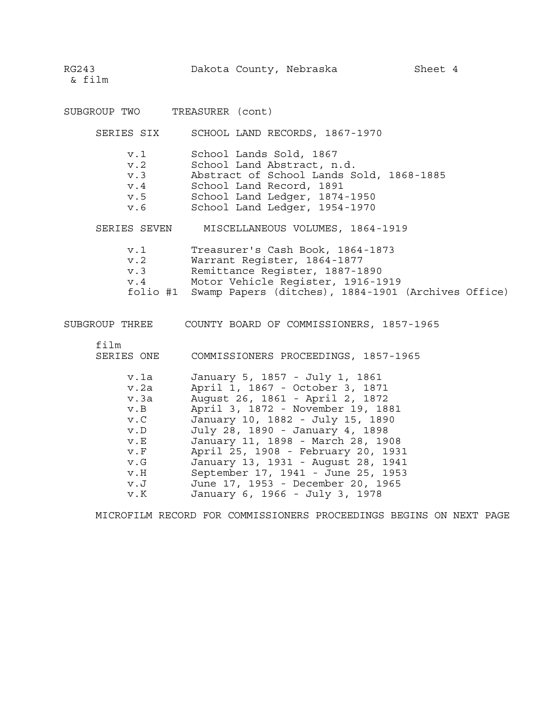RG243 Dakota County, Nebraska Sheet 4

& film

| SUBGROUP TWO |                                                                                                                                                                                   | TREASURER (cont)                                                                                                                                                                                                                                                                                                                                                                                                                                                                       |
|--------------|-----------------------------------------------------------------------------------------------------------------------------------------------------------------------------------|----------------------------------------------------------------------------------------------------------------------------------------------------------------------------------------------------------------------------------------------------------------------------------------------------------------------------------------------------------------------------------------------------------------------------------------------------------------------------------------|
|              | SERIES SIX                                                                                                                                                                        | SCHOOL LAND RECORDS, 1867-1970                                                                                                                                                                                                                                                                                                                                                                                                                                                         |
|              | $v \ldotp 1$<br>v.2<br>v.3<br>v.4<br>v.5<br>v.6                                                                                                                                   | School Lands Sold, 1867<br>School Land Abstract, n.d.<br>Abstract of School Lands Sold, 1868-1885<br>School Land Record, 1891<br>School Land Ledger, 1874-1950<br>School Land Ledger, 1954-1970                                                                                                                                                                                                                                                                                        |
|              | SERIES SEVEN                                                                                                                                                                      | MISCELLANEOUS VOLUMES, 1864-1919                                                                                                                                                                                                                                                                                                                                                                                                                                                       |
|              | v.1<br>v.2<br>v.3                                                                                                                                                                 | Treasurer's Cash Book, 1864-1873<br>Warrant Register, 1864-1877<br>Remittance Register, 1887-1890<br>v.4 Motor Vehicle Register, 1916-1919<br>folio #1 Swamp Papers (ditches), 1884-1901 (Archives Office)                                                                                                                                                                                                                                                                             |
|              |                                                                                                                                                                                   |                                                                                                                                                                                                                                                                                                                                                                                                                                                                                        |
| film         | SERIES ONE<br>v.1a<br>v.2a<br>v.3a<br>$v$ . B<br>$v \cdot C$<br>$v$ . $D$<br>$\mathbf v$ . $\mathbf E$<br>$v\cdot F$<br>V. G<br>V.H<br>$V \cdot J$<br>$\mathrm{v}$ . $\mathrm{K}$ | COMMISSIONERS PROCEEDINGS, 1857-1965<br>January 5, 1857 - July 1, 1861<br>April 1, 1867 - October 3, 1871<br>August 26, 1861 - April 2, 1872<br>April 3, 1872 - November 19, 1881<br>January 10, 1882 - July 15, 1890<br>July 28, 1890 - January 4, 1898<br>January 11, 1898 - March 28, 1908<br>April 25, 1908 - February 20, 1931<br>January 13, 1931 - August 28, 1941<br>September 17, 1941 - June 25, 1953<br>June 17, 1953 - December 20, 1965<br>January 6, 1966 - July 3, 1978 |

MICROFILM RECORD FOR COMMISSIONERS PROCEEDINGS BEGINS ON NEXT PAGE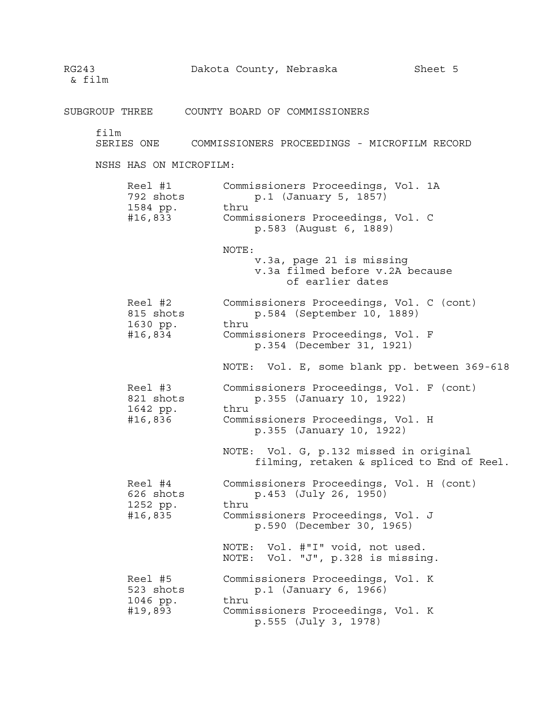SUBGROUP THREE COUNTY BOARD OF COMMISSIONERS film SERIES ONE COMMISSIONERS PROCEEDINGS - MICROFILM RECORD NSHS HAS ON MICROFILM: Reel #1 Commissioners Proceedings, Vol. 1A<br>792 shots p.1 (January 5, 1857) p.1 (January 5, 1857) 1584 pp. thru #16,833 Commissioners Proceedings, Vol. C p.583 (August 6, 1889) NOTE: v.3a, page 21 is missing v.3a filmed before v.2A because of earlier dates Reel #2 Commissioners Proceedings, Vol. C (cont) 815 shots p.584 (September 10, 1889) 1630 pp. thru #16,834 Commissioners Proceedings, Vol. F p.354 (December 31, 1921) NOTE: Vol. E, some blank pp. between 369-618 Reel #3 Commissioners Proceedings, Vol. F (cont) 821 shots p.355 (January 10, 1922) 1642 pp. thru #16,836 Commissioners Proceedings, Vol. H p.355 (January 10, 1922) NOTE: Vol. G, p.132 missed in original filming, retaken & spliced to End of Reel. Reel #4 Commissioners Proceedings, Vol. H (cont) 626 shots p.453 (July 26, 1950) 1252 pp. thru #16,835 Commissioners Proceedings, Vol. J p.590 (December 30, 1965) NOTE: Vol. #"I" void, not used. NOTE: Vol. "J", p.328 is missing. Reel #5 Commissioners Proceedings, Vol. K 523 shots p.1 (January 6, 1966) 1046 pp. thru #19,893 Commissioners Proceedings, Vol. K p.555 (July 3, 1978)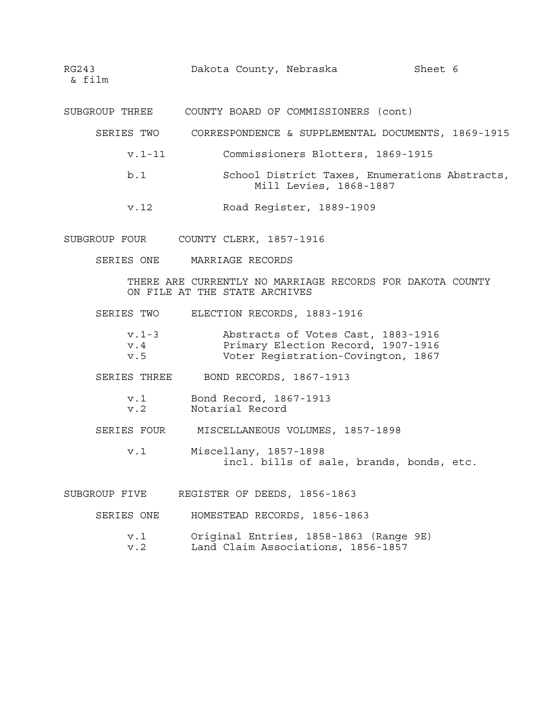SUBGROUP THREE COUNTY BOARD OF COMMISSIONERS (cont)

- SERIES TWO CORRESPONDENCE & SUPPLEMENTAL DOCUMENTS, 1869-1915
	- v.1-11 Commissioners Blotters, 1869-1915
	- b.1 School District Taxes, Enumerations Abstracts, Mill Levies, 1868-1887
	- v.12 Road Register, 1889-1909
- SUBGROUP FOUR COUNTY CLERK, 1857-1916
	- SERIES ONE MARRIAGE RECORDS

THERE ARE CURRENTLY NO MARRIAGE RECORDS FOR DAKOTA COUNTY ON FILE AT THE STATE ARCHIVES

SERIES TWO ELECTION RECORDS, 1883-1916

| $v.1 - 3$ | Abstracts of Votes Cast, 1883-1916 |  |
|-----------|------------------------------------|--|
| v.4       | Primary Election Record, 1907-1916 |  |
| v.5       | Voter Reqistration-Covington, 1867 |  |

SERIES THREE BOND RECORDS, 1867-1913

- v.1 Bond Record, 1867-1913 v.2 Notarial Record
- SERIES FOUR MISCELLANEOUS VOLUMES, 1857-1898
	- v.1 Miscellany, 1857-1898 incl. bills of sale, brands, bonds, etc.
- SUBGROUP FIVE REGISTER OF DEEDS, 1856-1863
	- SERIES ONE HOMESTEAD RECORDS, 1856-1863
		- v.1 Original Entries, 1858-1863 (Range 9E)
		- v.2 Land Claim Associations, 1856-1857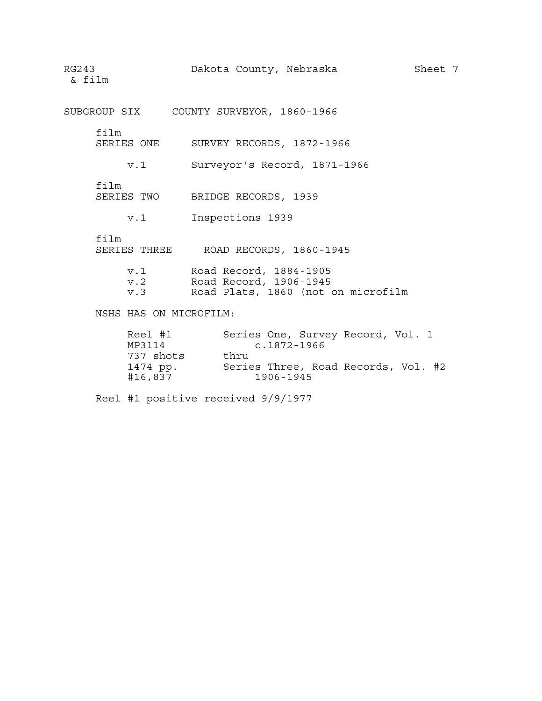Dakota County, Nebraska Sheet 7 RG243<br>& film

SUBGROUP SIX COUNTY SURVEYOR, 1860-1966

film

SERIES ONE SURVEY RECORDS, 1872-1966

v.1 Surveyor's Record, 1871-1966

film

SERIES TWO BRIDGE RECORDS, 1939

v.1 Inspections 1939

film

| SERIES THREE |  | ROAD RECORDS, 1860-1945 |  |
|--------------|--|-------------------------|--|
|              |  |                         |  |

| $v \ldotp 1$ |  | Road Record, 1884-1905 |
|--------------|--|------------------------|
| v.2          |  | Road Record, 1906-1945 |

v.3 Road Plats, 1860 (not on microfilm

NSHS HAS ON MICROFILM:

| Reel #1   | Series One, Survey Record, Vol. 1   |
|-----------|-------------------------------------|
| MP3114    | $c.1872 - 1966$                     |
| 737 shots | thru                                |
| 1474 pp.  | Series Three, Road Records, Vol. #2 |
| #16,837   | 1906-1945                           |

Reel #1 positive received 9/9/1977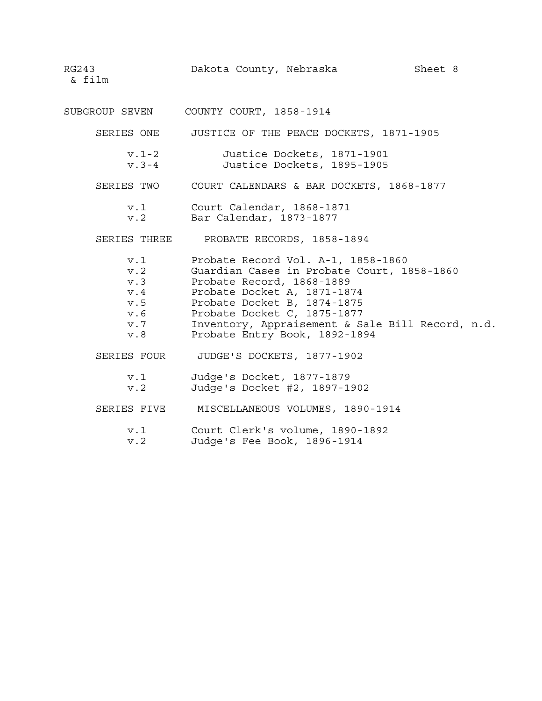SUBGROUP SEVEN COUNTY COURT, 1858-1914

SERIES ONE JUSTICE OF THE PEACE DOCKETS, 1871-1905

v.1-2 Justice Dockets, 1871-1901 v.3-4 Justice Dockets, 1895-1905

- SERIES TWO COURT CALENDARS & BAR DOCKETS, 1868-1877
	- v.1 Court Calendar, 1868-1871 v.2 Bar Calendar, 1873-1877
- SERIES THREE PROBATE RECORDS, 1858-1894
- v.1 Probate Record Vol. A-1, 1858-1860 v.2 Guardian Cases in Probate Court, 1858-1860 v.3 Probate Record, 1868-1889 v.4 Probate Docket A, 1871-1874 v.5 Probate Docket B, 1874-1875 v.6 Probate Docket C, 1875-1877 v.7 Inventory, Appraisement & Sale Bill Record, n.d. v.8 Probate Entry Book, 1892-1894 SERIES FOUR JUDGE'S DOCKETS, 1877-1902 v.1 Judge's Docket, 1877-1879 v.2 Judge's Docket #2, 1897-1902 SERIES FIVE MISCELLANEOUS VOLUMES, 1890-1914
	-
	- v.1 Court Clerk's volume, 1890-1892 v.2 Judge's Fee Book, 1896-1914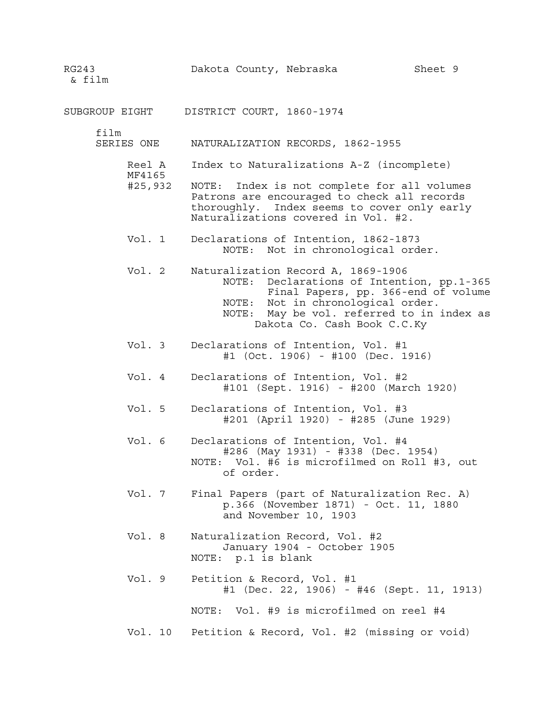SUBGROUP EIGHT DISTRICT COURT, 1860-1974

film

SERIES ONE NATURALIZATION RECORDS, 1862-1955

- Reel A Index to Naturalizations A-Z (incomplete)
- MF4165 #25,932 NOTE: Index is not complete for all volumes Patrons are encouraged to check all records thoroughly. Index seems to cover only early Naturalizations covered in Vol. #2.
- Vol. 1 Declarations of Intention, 1862-1873 NOTE: Not in chronological order.
- Vol. 2 Naturalization Record A, 1869-1906 NOTE: Declarations of Intention, pp.1-365 Final Papers, pp. 366-end of volume NOTE: Not in chronological order. NOTE: May be vol. referred to in index as Dakota Co. Cash Book C.C.Ky
- Vol. 3 Declarations of Intention, Vol. #1 #1 (Oct. 1906) - #100 (Dec. 1916)
- Vol. 4 Declarations of Intention, Vol. #2 #101 (Sept. 1916) - #200 (March 1920)
- Vol. 5 Declarations of Intention, Vol. #3 #201 (April 1920) - #285 (June 1929)
- Vol. 6 Declarations of Intention, Vol. #4 #286 (May 1931) - #338 (Dec. 1954) NOTE: Vol. #6 is microfilmed on Roll #3, out of order.
- Vol. 7 Final Papers (part of Naturalization Rec. A) p.366 (November 1871) - Oct. 11, 1880 and November 10, 1903
- Vol. 8 Naturalization Record, Vol. #2 January 1904 - October 1905 NOTE: p.1 is blank
- Vol. 9 Petition & Record, Vol. #1 #1 (Dec. 22, 1906) - #46 (Sept. 11, 1913)

NOTE: Vol. #9 is microfilmed on reel #4

Vol. 10 Petition & Record, Vol. #2 (missing or void)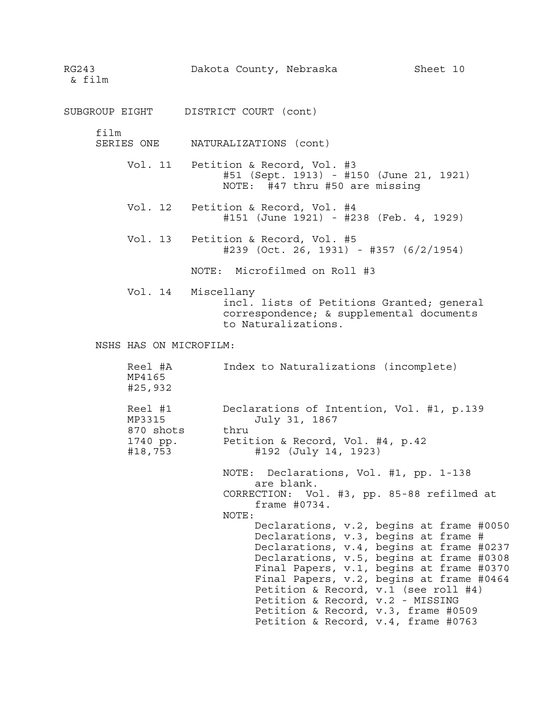RG243 Dakota County, Nebraska Sheet 10

SUBGROUP EIGHT DISTRICT COURT (cont)

film

SERIES ONE NATURALIZATIONS (cont)

- Vol. 11 Petition & Record, Vol. #3 #51 (Sept. 1913) - #150 (June 21, 1921) NOTE: #47 thru #50 are missing
- Vol. 12 Petition & Record, Vol. #4 #151 (June 1921) - #238 (Feb. 4, 1929)
- Vol. 13 Petition & Record, Vol. #5 #239 (Oct. 26, 1931) - #357 (6/2/1954)

NOTE: Microfilmed on Roll #3

Vol. 14 Miscellany incl. lists of Petitions Granted; general correspondence; & supplemental documents to Naturalizations.

NSHS HAS ON MICROFILM:

| Reel #1<br>MP3315<br>870 shots<br>1740 pp.<br>#18,753 | Declarations of Intention, Vol. #1, p.139<br>July 31, 1867<br>thru<br>Petition & Record, Vol. #4, p.42<br>#192 (July 14, 1923)                                                                                                                                                                                                                                                                                                                                                                                                                                |
|-------------------------------------------------------|---------------------------------------------------------------------------------------------------------------------------------------------------------------------------------------------------------------------------------------------------------------------------------------------------------------------------------------------------------------------------------------------------------------------------------------------------------------------------------------------------------------------------------------------------------------|
|                                                       | NOTE: Declarations, Vol. #1, pp. 1-138<br>are blank.<br>CORRECTION: Vol. #3, pp. 85-88 refilmed at<br>frame $#0734.$<br>NOTE:<br>Declarations, v.2, begins at frame #0050<br>Declarations, v.3, begins at frame #<br>Declarations, v.4, begins at frame #0237<br>Declarations, v.5, begins at frame #0308<br>Final Papers, v.1, begins at frame #0370<br>Final Papers, v.2, begins at frame #0464<br>Petition & Record, $v.1$ (see roll #4)<br>Petition & Record, v.2 - MISSING<br>Petition & Record, v.3, frame #0509<br>Petition & Record, v.4, frame #0763 |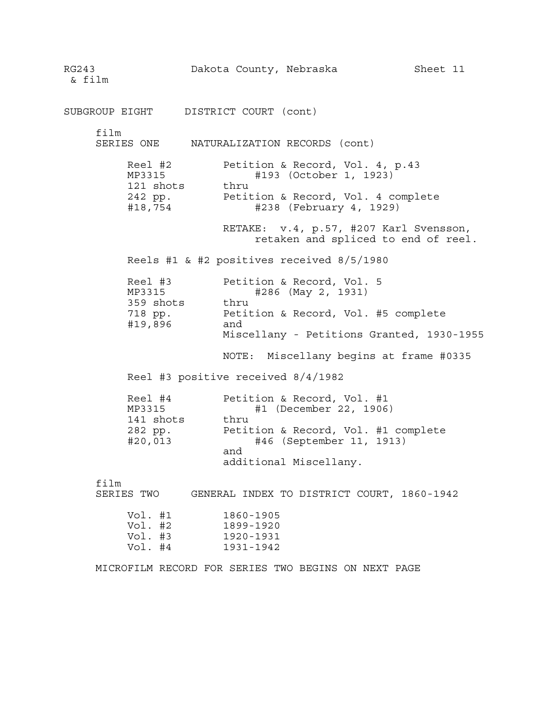RG243 Dakota County, Nebraska Sheet 11 & film SUBGROUP EIGHT DISTRICT COURT (cont) film SERIES ONE NATURALIZATION RECORDS (cont) Reel #2 Petition & Record, Vol. 4, p.43 MP3315 #193 (October 1, 1923) 121 shots thru 242 pp. Petition & Record, Vol. 4 complete #18,754 #238 (February 4, 1929) RETAKE: v.4, p.57, #207 Karl Svensson, retaken and spliced to end of reel. Reels #1 & #2 positives received 8/5/1980 Reel #3 Petition & Record, Vol. 5 MP3315 #286 (May 2, 1931) 359 shots thru 718 pp. Petition & Record, Vol. #5 complete #19,896 and Miscellany - Petitions Granted, 1930-1955 NOTE: Miscellany begins at frame #0335 Reel #3 positive received 8/4/1982 Reel #4 Petition & Record, Vol. #1 MP3315 #1 (December 22, 1906) 141 shots thru 282 pp. Petition & Record, Vol. #1 complete #20,013 #46 (September 11, 1913) and additional Miscellany. film SERIES TWO GENERAL INDEX TO DISTRICT COURT, 1860-1942 Vol. #1 1860-1905 Vol. #2 1899-1920<br>Vol. #3 1920-1931 1920-1931 Vol. #4 1931-1942 MICROFILM RECORD FOR SERIES TWO BEGINS ON NEXT PAGE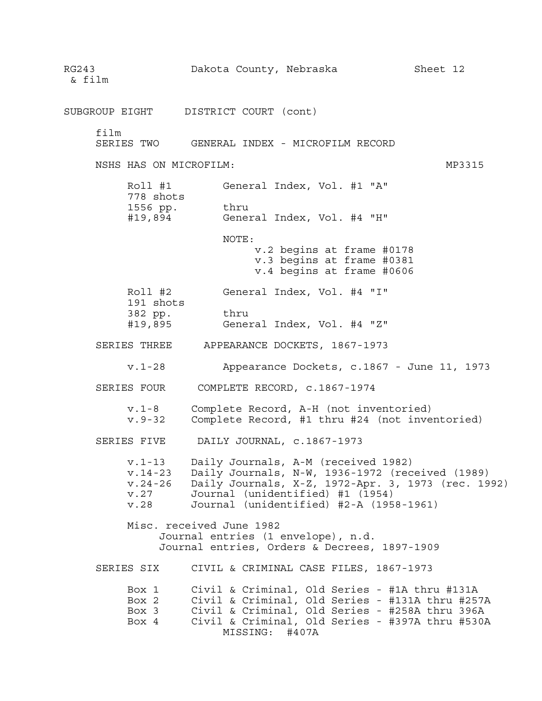RG243 Dakota County, Nebraska Sheet 12 & film SUBGROUP EIGHT DISTRICT COURT (cont) film SERIES TWO GENERAL INDEX - MICROFILM RECORD NSHS HAS ON MICROFILM: WELL ASSESSED A MANUSCRIPT ON MP3315 Roll #1 General Index, Vol. #1 "A" 778 shots 1556 pp. thru #19,894 General Index, Vol. #4 "H" NOTE: v.2 begins at frame #0178 v.3 begins at frame #0381 v.4 begins at frame #0606 Roll #2 General Index, Vol. #4 "I" 191 shots 382 pp. thru #19,895 General Index, Vol. #4 "Z" SERIES THREE APPEARANCE DOCKETS, 1867-1973 v.1-28 Appearance Dockets, c.1867 - June 11, 1973 SERIES FOUR COMPLETE RECORD, c.1867-1974 v.1-8 Complete Record, A-H (not inventoried) v.9-32 Complete Record, #1 thru #24 (not inventoried) SERIES FIVE DAILY JOURNAL, c.1867-1973 v.1-13 Daily Journals, A-M (received 1982) v.14-23 Daily Journals, N-W, 1936-1972 (received (1989) v.24-26 Daily Journals, X-Z, 1972-Apr. 3, 1973 (rec. 1992) v.27 Journal (unidentified) #1 (1954) v.28 Journal (unidentified) #2-A (1958-1961) Misc. received June 1982 Journal entries (1 envelope), n.d. Journal entries, Orders & Decrees, 1897-1909 SERIES SIX CIVIL & CRIMINAL CASE FILES, 1867-1973 Box 1 Civil & Criminal, Old Series - #1A thru #131A<br>Box 2 Civil & Criminal, Old Series - #131A thru #257A Box 2 Civil & Criminal, Old Series - #131A thru #257A Box 3 Civil & Criminal, Old Series - #258A thru 396A Box 4 Civil & Criminal, Old Series - #397A thru #530A MISSING: #407A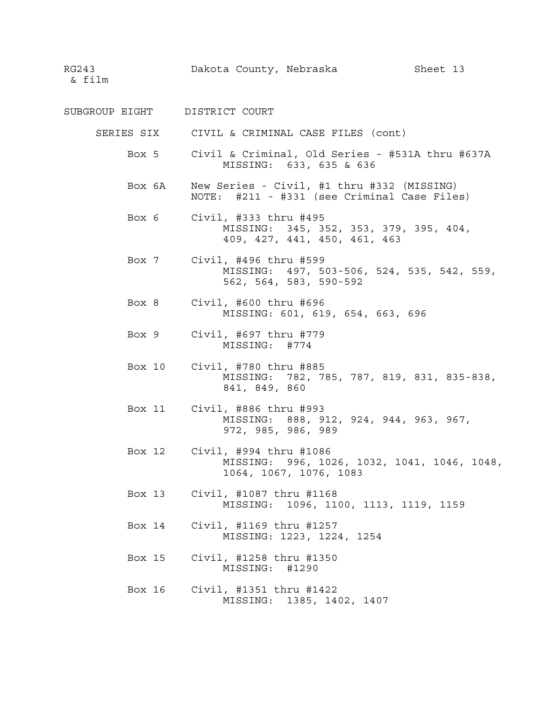- SUBGROUP EIGHT DISTRICT COURT
	- SERIES SIX CIVIL & CRIMINAL CASE FILES (cont)
		- Box 5 Civil & Criminal, Old Series #531A thru #637A MISSING: 633, 635 & 636
		- Box 6A New Series Civil, #1 thru #332 (MISSING) NOTE: #211 - #331 (see Criminal Case Files)
		- Box 6 Civil, #333 thru #495 MISSING: 345, 352, 353, 379, 395, 404, 409, 427, 441, 450, 461, 463
		- Box 7 Civil, #496 thru #599 MISSING: 497, 503-506, 524, 535, 542, 559, 562, 564, 583, 590-592
		- Box 8 Civil, #600 thru #696 MISSING: 601, 619, 654, 663, 696
		- Box 9 Civil, #697 thru #779 MISSING: #774
		- Box 10 Civil, #780 thru #885 MISSING: 782, 785, 787, 819, 831, 835-838, 841, 849, 860
		- Box 11 Civil, #886 thru #993 MISSING: 888, 912, 924, 944, 963, 967, 972, 985, 986, 989
		- Box 12 Civil, #994 thru #1086 MISSING: 996, 1026, 1032, 1041, 1046, 1048, 1064, 1067, 1076, 1083
		- Box 13 Civil, #1087 thru #1168 MISSING: 1096, 1100, 1113, 1119, 1159
		- Box 14 Civil, #1169 thru #1257 MISSING: 1223, 1224, 1254
		- Box 15 Civil, #1258 thru #1350 MISSING: #1290
		- Box 16 Civil, #1351 thru #1422 MISSING: 1385, 1402, 1407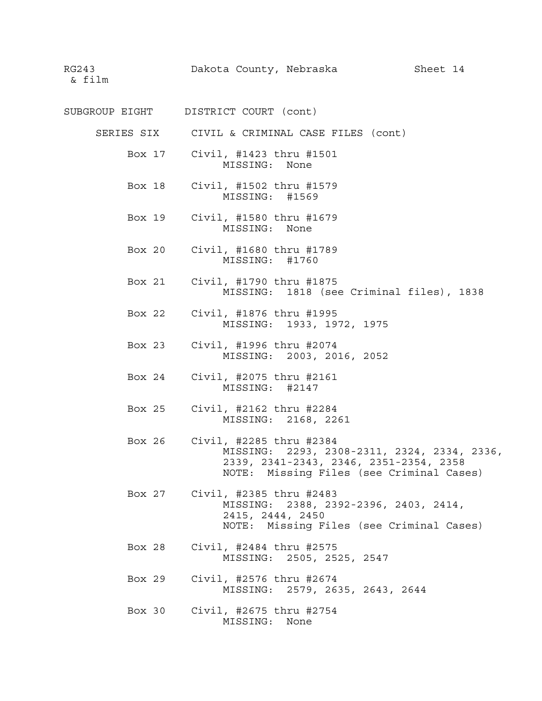SUBGROUP EIGHT DISTRICT COURT (cont)

SERIES SIX CIVIL & CRIMINAL CASE FILES (cont)

Box 17 Civil, #1423 thru #1501 MISSING: None

- Box 18 Civil, #1502 thru #1579 MISSING: #1569
- Box 19 Civil, #1580 thru #1679 MISSING: None
- Box 20 Civil, #1680 thru #1789 MISSING: #1760
- Box 21 Civil, #1790 thru #1875 MISSING: 1818 (see Criminal files), 1838
- Box 22 Civil, #1876 thru #1995 MISSING: 1933, 1972, 1975
- Box 23 Civil, #1996 thru #2074 MISSING: 2003, 2016, 2052
- Box 24 Civil, #2075 thru #2161 MISSING: #2147
- Box 25 Civil, #2162 thru #2284 MISSING: 2168, 2261
- Box 26 Civil, #2285 thru #2384 MISSING: 2293, 2308-2311, 2324, 2334, 2336, 2339, 2341-2343, 2346, 2351-2354, 2358 NOTE: Missing Files (see Criminal Cases)
- Box 27 Civil, #2385 thru #2483 MISSING: 2388, 2392-2396, 2403, 2414, 2415, 2444, 2450 NOTE: Missing Files (see Criminal Cases)
- Box 28 Civil, #2484 thru #2575 MISSING: 2505, 2525, 2547
- Box 29 Civil, #2576 thru #2674 MISSING: 2579, 2635, 2643, 2644
- Box 30 Civil, #2675 thru #2754 MISSING: None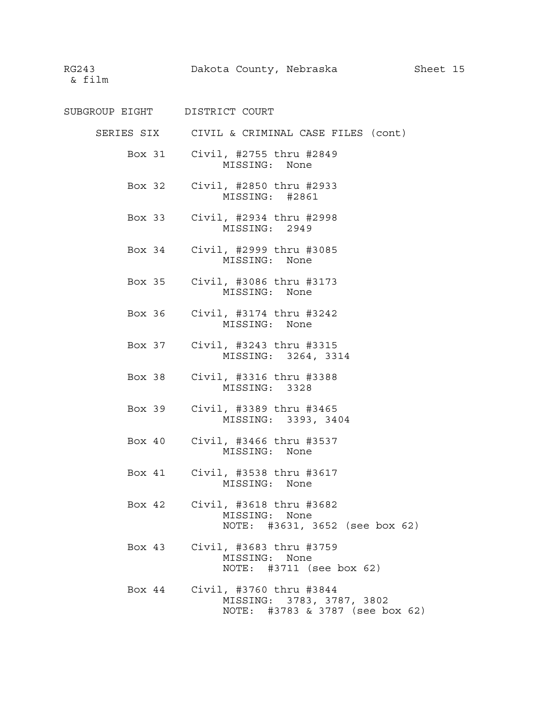- SUBGROUP EIGHT DISTRICT COURT
	- SERIES SIX CIVIL & CRIMINAL CASE FILES (cont)
		- Box 31 Civil, #2755 thru #2849 MISSING: None
		- Box 32 Civil, #2850 thru #2933 MISSING: #2861
		- Box 33 Civil, #2934 thru #2998 MISSING: 2949
		- Box 34 Civil, #2999 thru #3085 MISSING: None
		- Box 35 Civil, #3086 thru #3173 MISSING: None
		- Box 36 Civil, #3174 thru #3242 MISSING: None
		- Box 37 Civil, #3243 thru #3315 MISSING: 3264, 3314
		- Box 38 Civil, #3316 thru #3388 MISSING: 3328
		- Box 39 Civil, #3389 thru #3465 MISSING: 3393, 3404
		- Box 40 Civil, #3466 thru #3537 MISSING: None
		- Box 41 Civil, #3538 thru #3617 MISSING: None
		- Box 42 Civil, #3618 thru #3682 MISSING: None NOTE: #3631, 3652 (see box 62)
		- Box 43 Civil, #3683 thru #3759 MISSING: None NOTE: #3711 (see box 62)
		- Box 44 Civil, #3760 thru #3844 MISSING: 3783, 3787, 3802 NOTE: #3783 & 3787 (see box 62)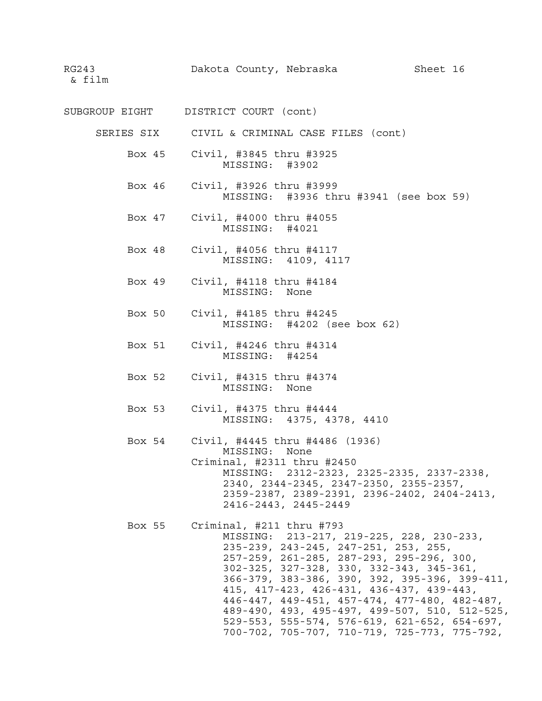- SUBGROUP EIGHT DISTRICT COURT (cont)
	- SERIES SIX CIVIL & CRIMINAL CASE FILES (cont)
		- Box 45 Civil, #3845 thru #3925 MISSING: #3902
		- Box 46 Civil, #3926 thru #3999 MISSING: #3936 thru #3941 (see box 59)
		- Box 47 Civil, #4000 thru #4055 MISSING: #4021
		- Box 48 Civil, #4056 thru #4117 MISSING: 4109, 4117
		- Box 49 Civil, #4118 thru #4184 MISSING: None
		- Box 50 Civil, #4185 thru #4245 MISSING: #4202 (see box 62)
		- Box 51 Civil, #4246 thru #4314 MISSING: #4254
		- Box 52 Civil, #4315 thru #4374 MISSING: None
		- Box 53 Civil, #4375 thru #4444 MISSING: 4375, 4378, 4410
		- Box 54 Civil, #4445 thru #4486 (1936) MISSING: None Criminal, #2311 thru #2450 MISSING: 2312-2323, 2325-2335, 2337-2338, 2340, 2344-2345, 2347-2350, 2355-2357, 2359-2387, 2389-2391, 2396-2402, 2404-2413, 2416-2443, 2445-2449
		- Box 55 Criminal, #211 thru #793 MISSING: 213-217, 219-225, 228, 230-233, 235-239, 243-245, 247-251, 253, 255, 257-259, 261-285, 287-293, 295-296, 300, 302-325, 327-328, 330, 332-343, 345-361, 366-379, 383-386, 390, 392, 395-396, 399-411, 415, 417-423, 426-431, 436-437, 439-443, 446-447, 449-451, 457-474, 477-480, 482-487, 489-490, 493, 495-497, 499-507, 510, 512-525, 529-553, 555-574, 576-619, 621-652, 654-697, 700-702, 705-707, 710-719, 725-773, 775-792,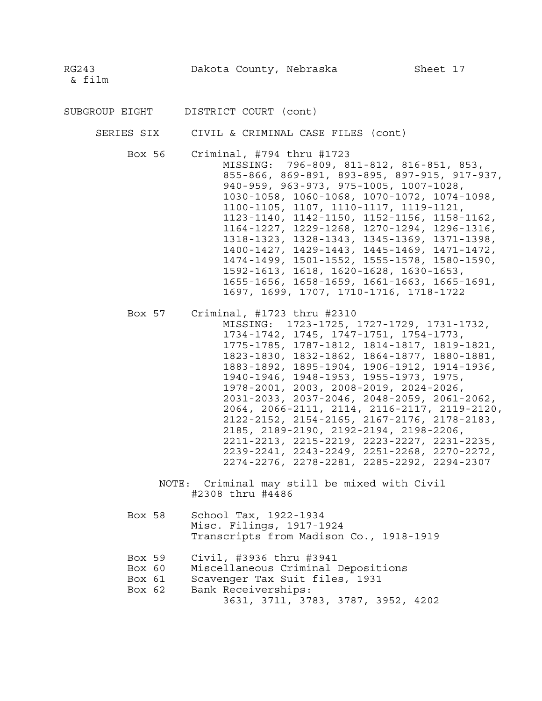SUBGROUP EIGHT DISTRICT COURT (cont)

SERIES SIX CIVIL & CRIMINAL CASE FILES (cont)

Box 56 Criminal, #794 thru #1723

MISSING: 796-809, 811-812, 816-851, 853, 855-866, 869-891, 893-895, 897-915, 917-937, 940-959, 963-973, 975-1005, 1007-1028, 1030-1058, 1060-1068, 1070-1072, 1074-1098, 1100-1105, 1107, 1110-1117, 1119-1121, 1123-1140, 1142-1150, 1152-1156, 1158-1162, 1164-1227, 1229-1268, 1270-1294, 1296-1316, 1318-1323, 1328-1343, 1345-1369, 1371-1398, 1400-1427, 1429-1443, 1445-1469, 1471-1472, 1474-1499, 1501-1552, 1555-1578, 1580-1590, 1592-1613, 1618, 1620-1628, 1630-1653, 1655-1656, 1658-1659, 1661-1663, 1665-1691, 1697, 1699, 1707, 1710-1716, 1718-1722

|  | Box 57 Criminal, #1723 thru #2310            |
|--|----------------------------------------------|
|  | MISSING: 1723-1725, 1727-1729, 1731-1732,    |
|  | 1734-1742, 1745, 1747-1751, 1754-1773,       |
|  | 1775-1785, 1787-1812, 1814-1817, 1819-1821,  |
|  | 1823-1830, 1832-1862, 1864-1877, 1880-1881,  |
|  | 1883-1892, 1895-1904, 1906-1912, 1914-1936,  |
|  | 1940-1946, 1948-1953, 1955-1973, 1975,       |
|  | 1978-2001, 2003, 2008-2019, 2024-2026,       |
|  | 2031-2033, 2037-2046, 2048-2059, 2061-2062,  |
|  | 2064, 2066-2111, 2114, 2116-2117, 2119-2120, |
|  | 2122-2152, 2154-2165, 2167-2176, 2178-2183,  |
|  | 2185, 2189-2190, 2192-2194, 2198-2206,       |
|  | 2211-2213, 2215-2219, 2223-2227, 2231-2235,  |
|  | 2239-2241, 2243-2249, 2251-2268, 2270-2272,  |
|  | 2274-2276, 2278-2281, 2285-2292, 2294-2307   |

NOTE: Criminal may still be mixed with Civil #2308 thru #4486

- Box 58 School Tax, 1922-1934 Misc. Filings, 1917-1924 Transcripts from Madison Co., 1918-1919
- Box 59 Civil, #3936 thru #3941
- Box 60 Miscellaneous Criminal Depositions
- Box 61 Scavenger Tax Suit files, 1931
- Box 62 Bank Receiverships:
	- 3631, 3711, 3783, 3787, 3952, 4202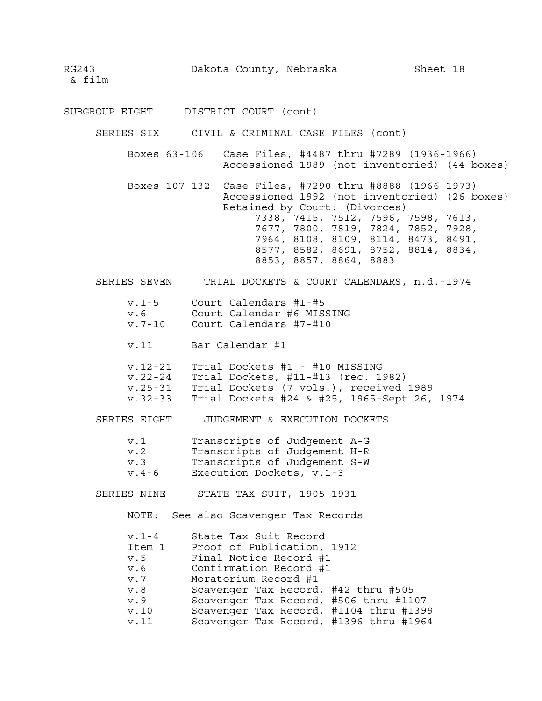SUBGROUP EIGHT DISTRICT COURT (cont)

SERIES SIX CIVIL & CRIMINAL CASE FILES (cont)

- Boxes 63-106 Case Files, #4487 thru #7289 (1936-1966) Accessioned 1989 (not inventoried) (44 boxes)
- Boxes 107-132 Case Files, #7290 thru #8888 (1966-1973) Accessioned 1992 (not inventoried) (26 boxes) Retained by Court: (Divorces) 7338, 7415, 7512, 7596, 7598, 7613, 7677, 7800, 7819, 7824, 7852, 7928, 7964, 8108, 8109, 8114, 8473, 8491,

8853, 8857, 8864, 8883

8577, 8582, 8691, 8752, 8814, 8834,

SERIES SEVEN TRIAL DOCKETS & COURT CALENDARS, n.d.-1974

| $v.1-5$    | Court Calendars #1-#5     |
|------------|---------------------------|
| v.6        | Court Calendar #6 MISSING |
| $v.7 - 10$ | Court Calendars #7-#10    |

- v.11 Bar Calendar #1
- v.12-21 Trial Dockets #1 #10 MISSING v.22-24 Trial Dockets, #11-#13 (rec. 1982) v.25-31 Trial Dockets (7 vols.), received 1989 v.32-33 Trial Dockets #24 & #25, 1965-Sept 26, 1974

SERIES EIGHT JUDGEMENT & EXECUTION DOCKETS

| v.1     | Transcripts of Judgement A-G |
|---------|------------------------------|
| v.2     | Transcripts of Judgement H-R |
| v.3     | Transcripts of Judgement S-W |
| $v.4-6$ | Execution Dockets, v.1-3     |

SERIES NINE STATE TAX SUIT, 1905-1931

NOTE: See also Scavenger Tax Records

| $v.1-4$ | State Tax Suit Record                  |
|---------|----------------------------------------|
| Item 1  | Proof of Publication, 1912             |
| v.5     | Final Notice Record #1                 |
| v.6     | Confirmation Record #1                 |
| v.7     | Moratorium Record #1                   |
| v.8     | Scavenger Tax Record, #42 thru #505    |
| v.9     | Scavenger Tax Record, #506 thru #1107  |
| v.10    | Scavenger Tax Record, #1104 thru #1399 |
| v.11    | Scavenger Tax Record, #1396 thru #1964 |